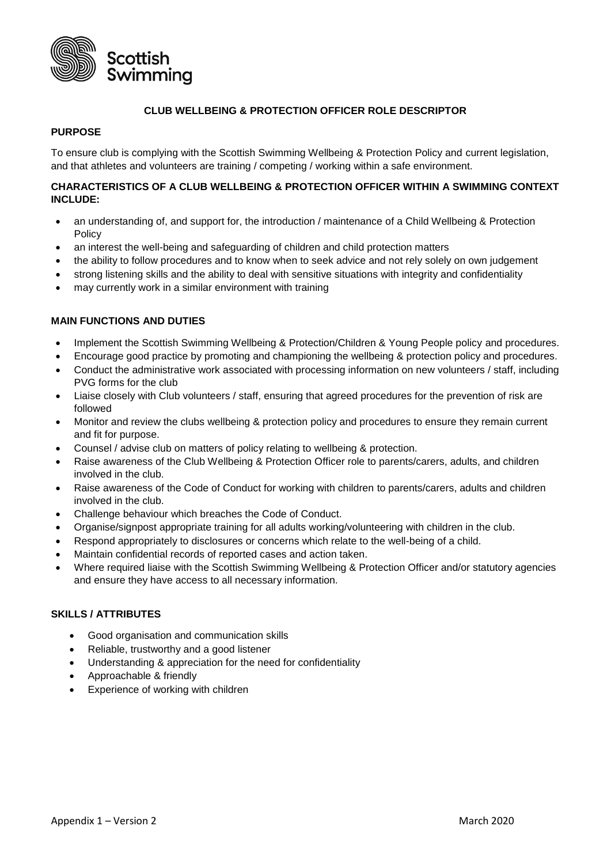

## **CLUB WELLBEING & PROTECTION OFFICER ROLE DESCRIPTOR**

# **PURPOSE**

To ensure club is complying with the Scottish Swimming Wellbeing & Protection Policy and current legislation, and that athletes and volunteers are training / competing / working within a safe environment.

# **CHARACTERISTICS OF A CLUB WELLBEING & PROTECTION OFFICER WITHIN A SWIMMING CONTEXT INCLUDE:**

- an understanding of, and support for, the introduction / maintenance of a Child Wellbeing & Protection Policy
- an interest the well-being and safeguarding of children and child protection matters
- the ability to follow procedures and to know when to seek advice and not rely solely on own judgement
- strong listening skills and the ability to deal with sensitive situations with integrity and confidentiality
- may currently work in a similar environment with training

# **MAIN FUNCTIONS AND DUTIES**

- Implement the Scottish Swimming Wellbeing & Protection/Children & Young People policy and procedures.
- Encourage good practice by promoting and championing the wellbeing & protection policy and procedures.
- Conduct the administrative work associated with processing information on new volunteers / staff, including PVG forms for the club
- Liaise closely with Club volunteers / staff, ensuring that agreed procedures for the prevention of risk are followed
- Monitor and review the clubs wellbeing & protection policy and procedures to ensure they remain current and fit for purpose.
- Counsel / advise club on matters of policy relating to wellbeing & protection.
- Raise awareness of the Club Wellbeing & Protection Officer role to parents/carers, adults, and children involved in the club.
- Raise awareness of the Code of Conduct for working with children to parents/carers, adults and children involved in the club.
- Challenge behaviour which breaches the Code of Conduct.
- Organise/signpost appropriate training for all adults working/volunteering with children in the club.
- Respond appropriately to disclosures or concerns which relate to the well-being of a child.
- Maintain confidential records of reported cases and action taken.
- Where required liaise with the Scottish Swimming Wellbeing & Protection Officer and/or statutory agencies and ensure they have access to all necessary information.

### **SKILLS / ATTRIBUTES**

- Good organisation and communication skills
- Reliable, trustworthy and a good listener
- Understanding & appreciation for the need for confidentiality
- Approachable & friendly
- Experience of working with children